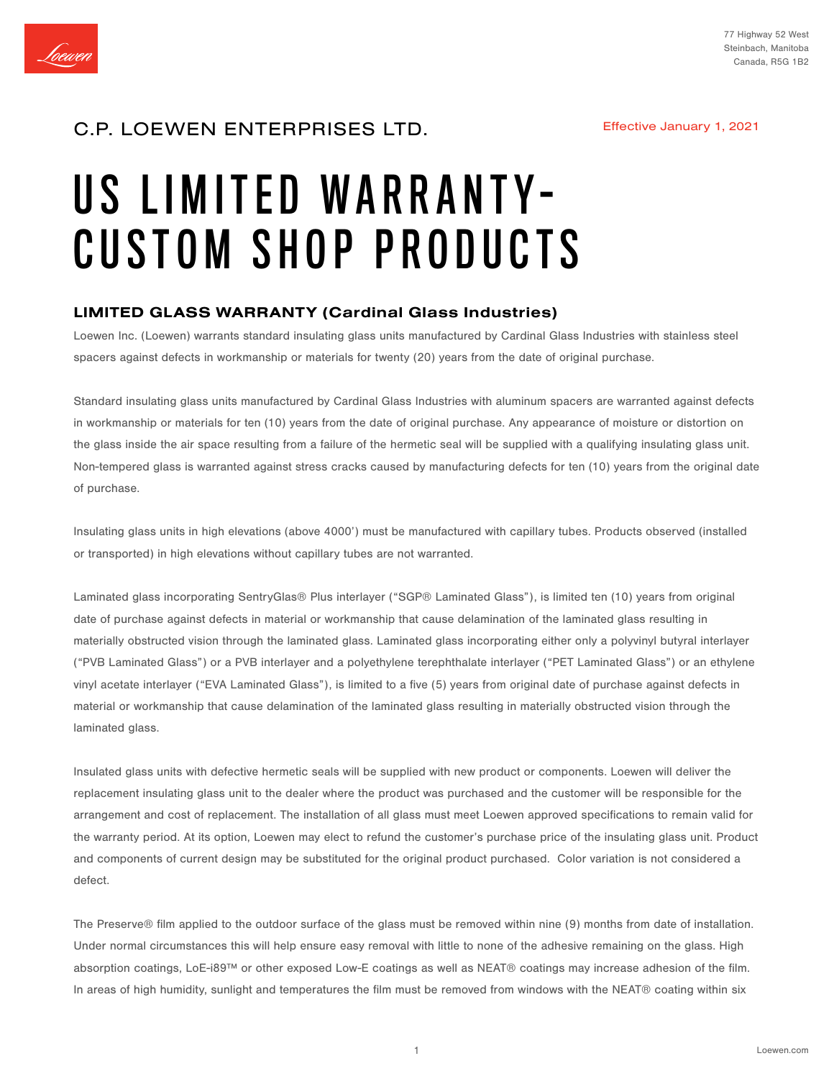

## C.P. LOEWEN ENTERPRISES LTD.

Effective January 1, 2021

# US LIMITED WARRANTY-CUSTOM SHOP PRODUCTS

## LIMITED GLASS WARRANTY (Cardinal Glass Industries)

Loewen Inc. (Loewen) warrants standard insulating glass units manufactured by Cardinal Glass Industries with stainless steel spacers against defects in workmanship or materials for twenty (20) years from the date of original purchase.

Standard insulating glass units manufactured by Cardinal Glass Industries with aluminum spacers are warranted against defects in workmanship or materials for ten (10) years from the date of original purchase. Any appearance of moisture or distortion on the glass inside the air space resulting from a failure of the hermetic seal will be supplied with a qualifying insulating glass unit. Non-tempered glass is warranted against stress cracks caused by manufacturing defects for ten (10) years from the original date of purchase.

Insulating glass units in high elevations (above 4000') must be manufactured with capillary tubes. Products observed (installed or transported) in high elevations without capillary tubes are not warranted.

Laminated glass incorporating SentryGlas® Plus interlayer ("SGP® Laminated Glass"), is limited ten (10) years from original date of purchase against defects in material or workmanship that cause delamination of the laminated glass resulting in materially obstructed vision through the laminated glass. Laminated glass incorporating either only a polyvinyl butyral interlayer ("PVB Laminated Glass") or a PVB interlayer and a polyethylene terephthalate interlayer ("PET Laminated Glass") or an ethylene vinyl acetate interlayer ("EVA Laminated Glass"), is limited to a five (5) years from original date of purchase against defects in material or workmanship that cause delamination of the laminated glass resulting in materially obstructed vision through the laminated glass.

Insulated glass units with defective hermetic seals will be supplied with new product or components. Loewen will deliver the replacement insulating glass unit to the dealer where the product was purchased and the customer will be responsible for the arrangement and cost of replacement. The installation of all glass must meet Loewen approved specifications to remain valid for the warranty period. At its option, Loewen may elect to refund the customer's purchase price of the insulating glass unit. Product and components of current design may be substituted for the original product purchased. Color variation is not considered a defect.

The Preserve® film applied to the outdoor surface of the glass must be removed within nine (9) months from date of installation. Under normal circumstances this will help ensure easy removal with little to none of the adhesive remaining on the glass. High absorption coatings, LoE-i89™ or other exposed Low-E coatings as well as NEAT® coatings may increase adhesion of the film. In areas of high humidity, sunlight and temperatures the film must be removed from windows with the NEAT® coating within six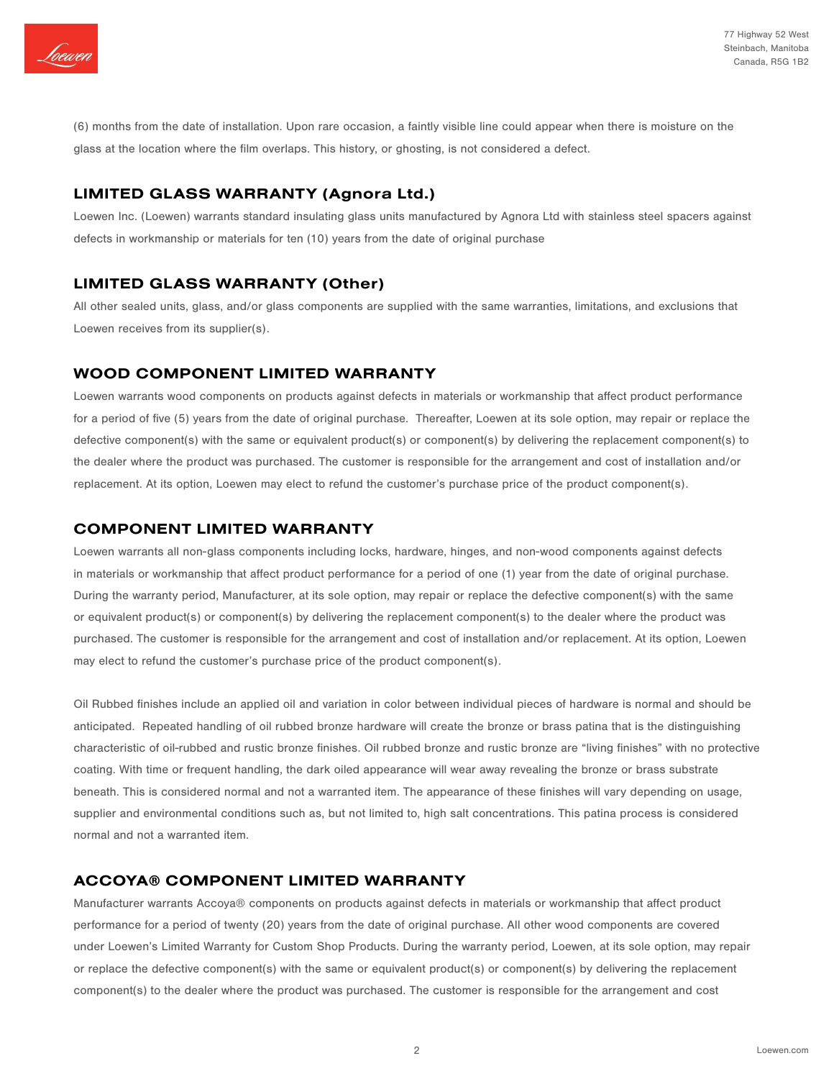

(6) months from the date of installation. Upon rare occasion, a faintly visible line could appear when there is moisture on the glass at the location where the film overlaps. This history, or ghosting, is not considered a defect.

## LIMITED GLASS WARRANTY (Agnora Ltd.)

Loewen Inc. (Loewen) warrants standard insulating glass units manufactured by Agnora Ltd with stainless steel spacers against defects in workmanship or materials for ten (10) years from the date of original purchase

## LIMITED GLASS WARRANTY (Other)

All other sealed units, glass, and/or glass components are supplied with the same warranties, limitations, and exclusions that Loewen receives from its supplier(s).

## WOOD COMPONENT LIMITED WARRANTY

Loewen warrants wood components on products against defects in materials or workmanship that affect product performance for a period of five (5) years from the date of original purchase. Thereafter, Loewen at its sole option, may repair or replace the defective component(s) with the same or equivalent product(s) or component(s) by delivering the replacement component(s) to the dealer where the product was purchased. The customer is responsible for the arrangement and cost of installation and/or replacement. At its option, Loewen may elect to refund the customer's purchase price of the product component(s).

## COMPONENT LIMITED WARRANTY

Loewen warrants all non-glass components including locks, hardware, hinges, and non-wood components against defects in materials or workmanship that affect product performance for a period of one (1) year from the date of original purchase. During the warranty period, Manufacturer, at its sole option, may repair or replace the defective component(s) with the same or equivalent product(s) or component(s) by delivering the replacement component(s) to the dealer where the product was purchased. The customer is responsible for the arrangement and cost of installation and/or replacement. At its option, Loewen may elect to refund the customer's purchase price of the product component(s).

Oil Rubbed finishes include an applied oil and variation in color between individual pieces of hardware is normal and should be anticipated. Repeated handling of oil rubbed bronze hardware will create the bronze or brass patina that is the distinguishing characteristic of oil-rubbed and rustic bronze finishes. Oil rubbed bronze and rustic bronze are "living finishes" with no protective coating. With time or frequent handling, the dark oiled appearance will wear away revealing the bronze or brass substrate beneath. This is considered normal and not a warranted item. The appearance of these finishes will vary depending on usage, supplier and environmental conditions such as, but not limited to, high salt concentrations. This patina process is considered normal and not a warranted item.

## ACCOYA® COMPONENT LIMITED WARRANTY

Manufacturer warrants Accoya® components on products against defects in materials or workmanship that affect product performance for a period of twenty (20) years from the date of original purchase. All other wood components are covered under Loewen's Limited Warranty for Custom Shop Products. During the warranty period, Loewen, at its sole option, may repair or replace the defective component(s) with the same or equivalent product(s) or component(s) by delivering the replacement component(s) to the dealer where the product was purchased. The customer is responsible for the arrangement and cost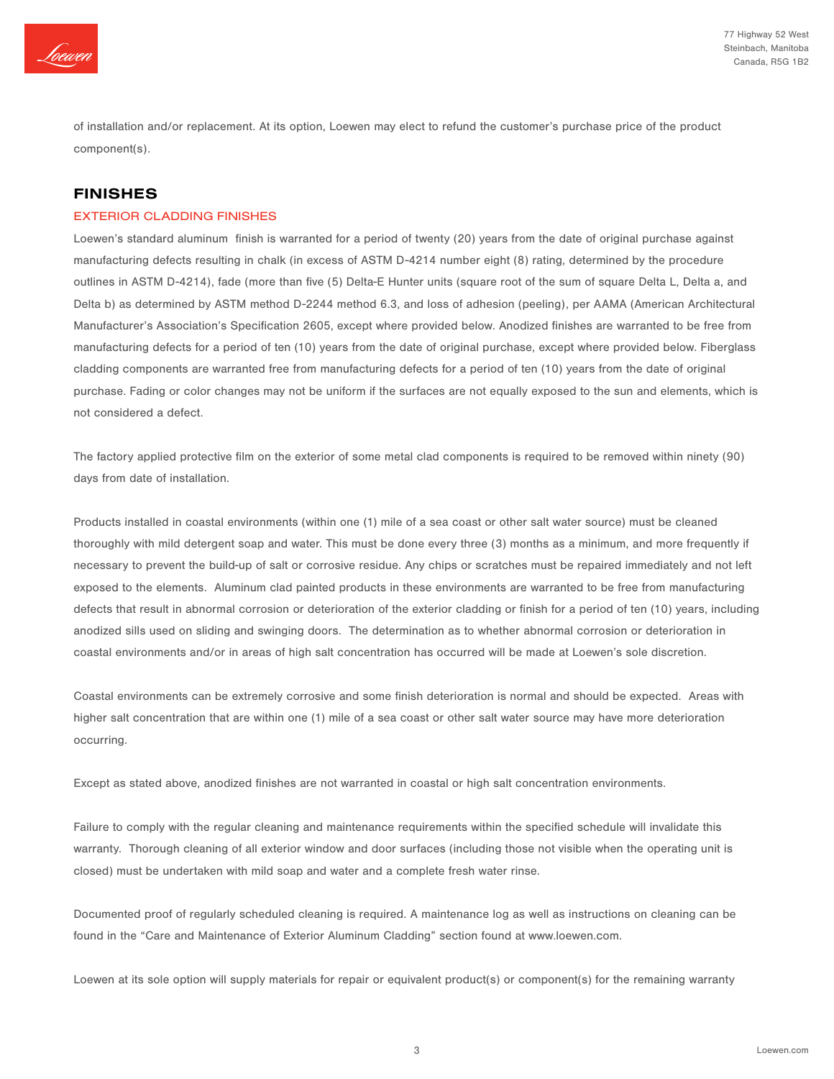

of installation and/or replacement. At its option, Loewen may elect to refund the customer's purchase price of the product component(s).

## FINISHES

#### EXTERIOR CLADDING FINISHES

Loewen's standard aluminum finish is warranted for a period of twenty (20) years from the date of original purchase against manufacturing defects resulting in chalk (in excess of ASTM D-4214 number eight (8) rating, determined by the procedure outlines in ASTM D-4214), fade (more than five (5) Delta-E Hunter units (square root of the sum of square Delta L, Delta a, and Delta b) as determined by ASTM method D-2244 method 6.3, and loss of adhesion (peeling), per AAMA (American Architectural Manufacturer's Association's Specification 2605, except where provided below. Anodized finishes are warranted to be free from manufacturing defects for a period of ten (10) years from the date of original purchase, except where provided below. Fiberglass cladding components are warranted free from manufacturing defects for a period of ten (10) years from the date of original purchase. Fading or color changes may not be uniform if the surfaces are not equally exposed to the sun and elements, which is not considered a defect.

The factory applied protective film on the exterior of some metal clad components is required to be removed within ninety (90) days from date of installation.

Products installed in coastal environments (within one (1) mile of a sea coast or other salt water source) must be cleaned thoroughly with mild detergent soap and water. This must be done every three (3) months as a minimum, and more frequently if necessary to prevent the build-up of salt or corrosive residue. Any chips or scratches must be repaired immediately and not left exposed to the elements. Aluminum clad painted products in these environments are warranted to be free from manufacturing defects that result in abnormal corrosion or deterioration of the exterior cladding or finish for a period of ten (10) years, including anodized sills used on sliding and swinging doors. The determination as to whether abnormal corrosion or deterioration in coastal environments and/or in areas of high salt concentration has occurred will be made at Loewen's sole discretion.

Coastal environments can be extremely corrosive and some finish deterioration is normal and should be expected. Areas with higher salt concentration that are within one (1) mile of a sea coast or other salt water source may have more deterioration occurring.

Except as stated above, anodized finishes are not warranted in coastal or high salt concentration environments.

Failure to comply with the regular cleaning and maintenance requirements within the specified schedule will invalidate this warranty. Thorough cleaning of all exterior window and door surfaces (including those not visible when the operating unit is closed) must be undertaken with mild soap and water and a complete fresh water rinse.

Documented proof of regularly scheduled cleaning is required. A maintenance log as well as instructions on cleaning can be found in the "Care and Maintenance of Exterior Aluminum Cladding" section found at www.loewen.com.

Loewen at its sole option will supply materials for repair or equivalent product(s) or component(s) for the remaining warranty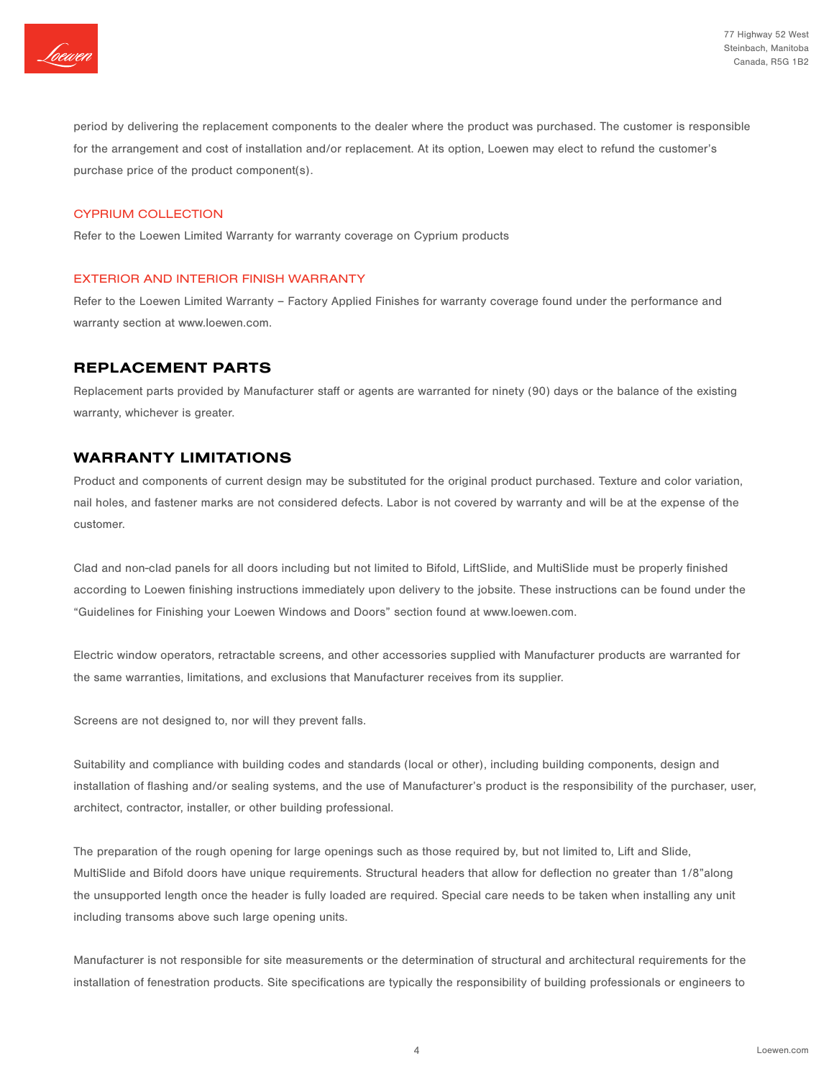

period by delivering the replacement components to the dealer where the product was purchased. The customer is responsible for the arrangement and cost of installation and/or replacement. At its option, Loewen may elect to refund the customer's purchase price of the product component(s).

#### CYPRIUM COLLECTION

Refer to the Loewen Limited Warranty for warranty coverage on Cyprium products

#### EXTERIOR AND INTERIOR FINISH WARRANTY

Refer to the Loewen Limited Warranty – Factory Applied Finishes for warranty coverage found under the performance and warranty section at www.loewen.com.

## REPLACEMENT PARTS

Replacement parts provided by Manufacturer staff or agents are warranted for ninety (90) days or the balance of the existing warranty, whichever is greater.

## WARRANTY LIMITATIONS

Product and components of current design may be substituted for the original product purchased. Texture and color variation, nail holes, and fastener marks are not considered defects. Labor is not covered by warranty and will be at the expense of the customer.

Clad and non-clad panels for all doors including but not limited to Bifold, LiftSlide, and MultiSlide must be properly finished according to Loewen finishing instructions immediately upon delivery to the jobsite. These instructions can be found under the "Guidelines for Finishing your Loewen Windows and Doors" section found at www.loewen.com.

Electric window operators, retractable screens, and other accessories supplied with Manufacturer products are warranted for the same warranties, limitations, and exclusions that Manufacturer receives from its supplier.

Screens are not designed to, nor will they prevent falls.

Suitability and compliance with building codes and standards (local or other), including building components, design and installation of flashing and/or sealing systems, and the use of Manufacturer's product is the responsibility of the purchaser, user, architect, contractor, installer, or other building professional.

The preparation of the rough opening for large openings such as those required by, but not limited to, Lift and Slide, MultiSlide and Bifold doors have unique requirements. Structural headers that allow for deflection no greater than 1/8"along the unsupported length once the header is fully loaded are required. Special care needs to be taken when installing any unit including transoms above such large opening units.

Manufacturer is not responsible for site measurements or the determination of structural and architectural requirements for the installation of fenestration products. Site specifications are typically the responsibility of building professionals or engineers to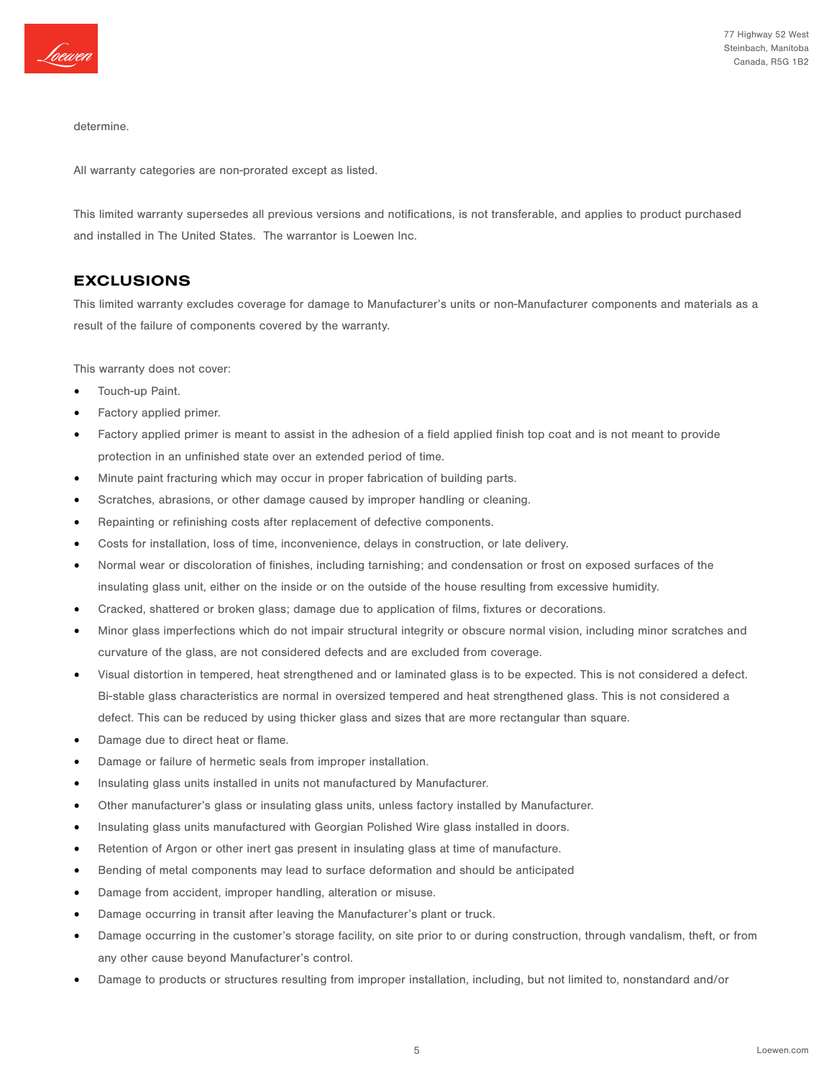

determine.

All warranty categories are non-prorated except as listed.

This limited warranty supersedes all previous versions and notifications, is not transferable, and applies to product purchased and installed in The United States. The warrantor is Loewen Inc.

## EXCLUSIONS

This limited warranty excludes coverage for damage to Manufacturer's units or non-Manufacturer components and materials as a result of the failure of components covered by the warranty.

This warranty does not cover:

- Touch-up Paint.
- Factory applied primer.
- Factory applied primer is meant to assist in the adhesion of a field applied finish top coat and is not meant to provide protection in an unfinished state over an extended period of time.
- Minute paint fracturing which may occur in proper fabrication of building parts.
- Scratches, abrasions, or other damage caused by improper handling or cleaning.
- Repainting or refinishing costs after replacement of defective components.
- Costs for installation, loss of time, inconvenience, delays in construction, or late delivery.
- Normal wear or discoloration of finishes, including tarnishing; and condensation or frost on exposed surfaces of the insulating glass unit, either on the inside or on the outside of the house resulting from excessive humidity.
- Cracked, shattered or broken glass; damage due to application of films, fixtures or decorations.
- Minor glass imperfections which do not impair structural integrity or obscure normal vision, including minor scratches and curvature of the glass, are not considered defects and are excluded from coverage.
- Visual distortion in tempered, heat strengthened and or laminated glass is to be expected. This is not considered a defect. Bi-stable glass characteristics are normal in oversized tempered and heat strengthened glass. This is not considered a defect. This can be reduced by using thicker glass and sizes that are more rectangular than square.
- Damage due to direct heat or flame.
- Damage or failure of hermetic seals from improper installation.
- Insulating glass units installed in units not manufactured by Manufacturer.
- Other manufacturer's glass or insulating glass units, unless factory installed by Manufacturer.
- Insulating glass units manufactured with Georgian Polished Wire glass installed in doors.
- Retention of Argon or other inert gas present in insulating glass at time of manufacture.
- Bending of metal components may lead to surface deformation and should be anticipated
- Damage from accident, improper handling, alteration or misuse.
- Damage occurring in transit after leaving the Manufacturer's plant or truck.
- Damage occurring in the customer's storage facility, on site prior to or during construction, through vandalism, theft, or from any other cause beyond Manufacturer's control.
- Damage to products or structures resulting from improper installation, including, but not limited to, nonstandard and/or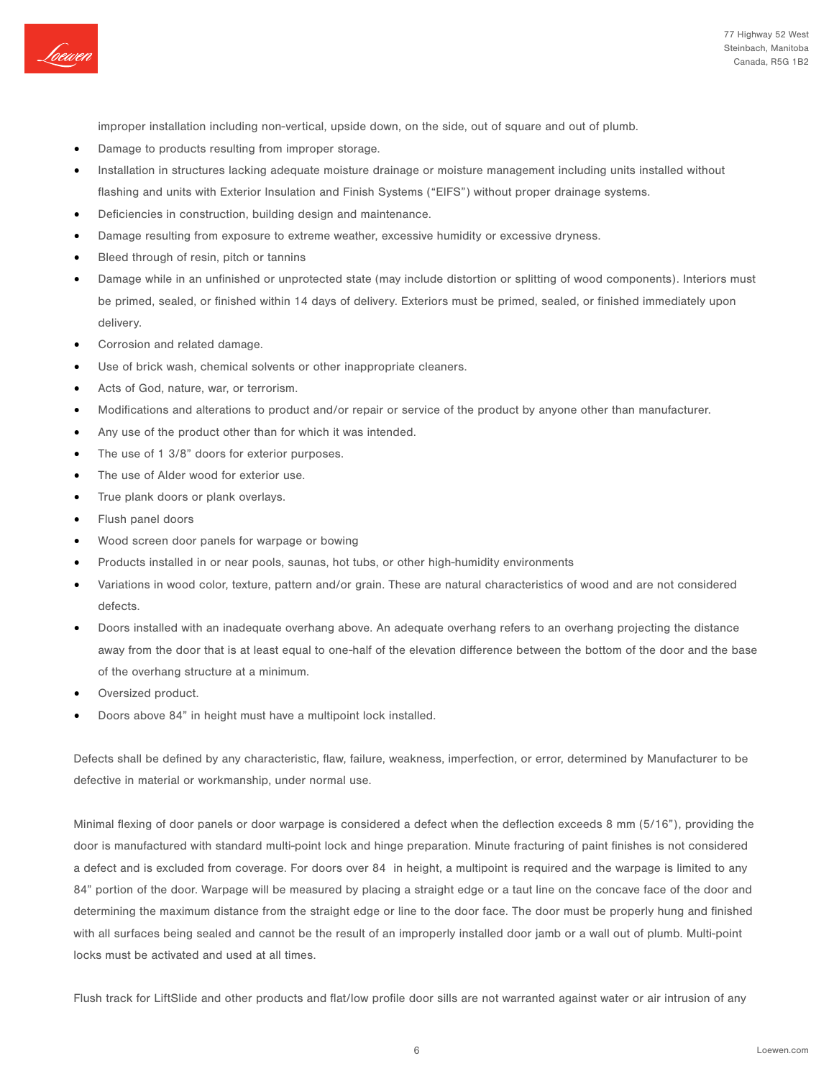

improper installation including non-vertical, upside down, on the side, out of square and out of plumb.

- Damage to products resulting from improper storage.
- Installation in structures lacking adequate moisture drainage or moisture management including units installed without flashing and units with Exterior Insulation and Finish Systems ("EIFS") without proper drainage systems.
- Deficiencies in construction, building design and maintenance.
- Damage resulting from exposure to extreme weather, excessive humidity or excessive dryness.
- Bleed through of resin, pitch or tannins
- Damage while in an unfinished or unprotected state (may include distortion or splitting of wood components). Interiors must be primed, sealed, or finished within 14 days of delivery. Exteriors must be primed, sealed, or finished immediately upon delivery.
- Corrosion and related damage.
- Use of brick wash, chemical solvents or other inappropriate cleaners.
- Acts of God, nature, war, or terrorism.
- Modifications and alterations to product and/or repair or service of the product by anyone other than manufacturer.
- Any use of the product other than for which it was intended.
- The use of 1 3/8" doors for exterior purposes.
- The use of Alder wood for exterior use.
- True plank doors or plank overlays.
- Flush panel doors
- Wood screen door panels for warpage or bowing
- Products installed in or near pools, saunas, hot tubs, or other high-humidity environments
- Variations in wood color, texture, pattern and/or grain. These are natural characteristics of wood and are not considered defects.
- Doors installed with an inadequate overhang above. An adequate overhang refers to an overhang projecting the distance away from the door that is at least equal to one-half of the elevation difference between the bottom of the door and the base of the overhang structure at a minimum.
- Oversized product.
- Doors above 84" in height must have a multipoint lock installed.

Defects shall be defined by any characteristic, flaw, failure, weakness, imperfection, or error, determined by Manufacturer to be defective in material or workmanship, under normal use.

Minimal flexing of door panels or door warpage is considered a defect when the deflection exceeds 8 mm (5/16"), providing the door is manufactured with standard multi-point lock and hinge preparation. Minute fracturing of paint finishes is not considered a defect and is excluded from coverage. For doors over 84 in height, a multipoint is required and the warpage is limited to any 84" portion of the door. Warpage will be measured by placing a straight edge or a taut line on the concave face of the door and determining the maximum distance from the straight edge or line to the door face. The door must be properly hung and finished with all surfaces being sealed and cannot be the result of an improperly installed door jamb or a wall out of plumb. Multi-point locks must be activated and used at all times.

Flush track for LiftSlide and other products and flat/low profile door sills are not warranted against water or air intrusion of any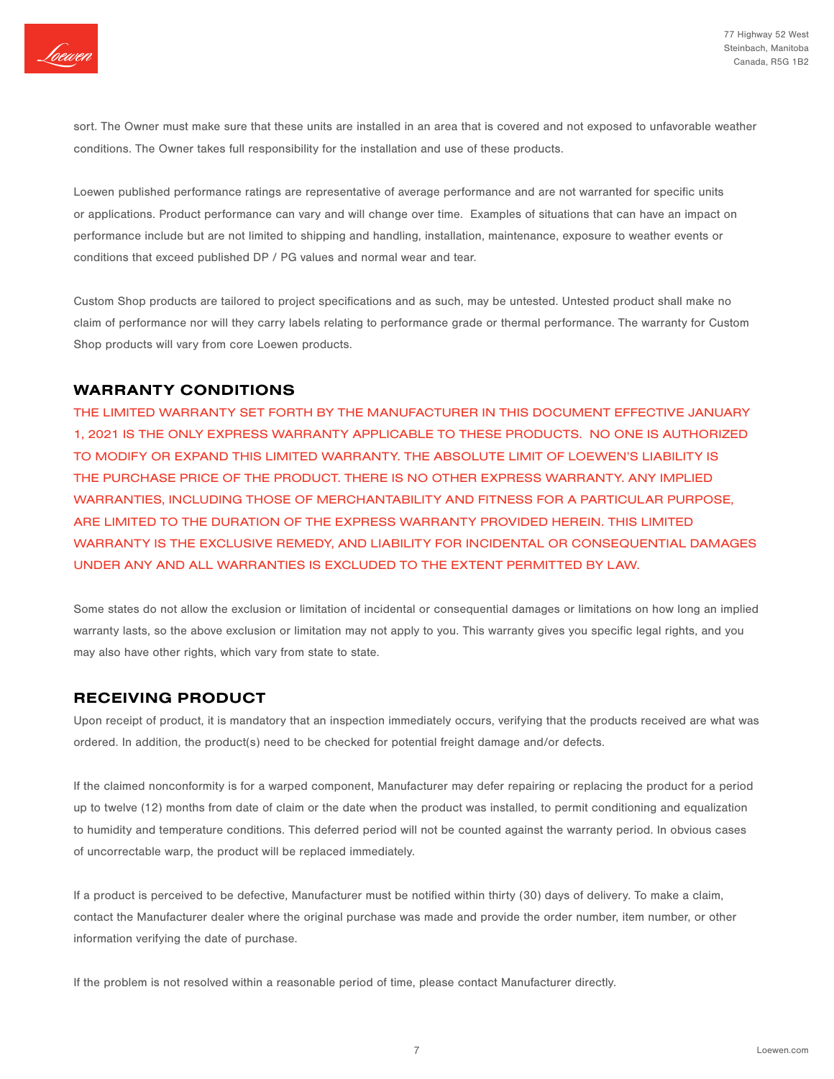

sort. The Owner must make sure that these units are installed in an area that is covered and not exposed to unfavorable weather conditions. The Owner takes full responsibility for the installation and use of these products.

Loewen published performance ratings are representative of average performance and are not warranted for specific units or applications. Product performance can vary and will change over time. Examples of situations that can have an impact on performance include but are not limited to shipping and handling, installation, maintenance, exposure to weather events or conditions that exceed published DP / PG values and normal wear and tear.

Custom Shop products are tailored to project specifications and as such, may be untested. Untested product shall make no claim of performance nor will they carry labels relating to performance grade or thermal performance. The warranty for Custom Shop products will vary from core Loewen products.

## WARRANTY CONDITIONS

THE LIMITED WARRANTY SET FORTH BY THE MANUFACTURER IN THIS DOCUMENT EFFECTIVE JANUARY 1, 2021 IS THE ONLY EXPRESS WARRANTY APPLICABLE TO THESE PRODUCTS. NO ONE IS AUTHORIZED TO MODIFY OR EXPAND THIS LIMITED WARRANTY. THE ABSOLUTE LIMIT OF LOEWEN'S LIABILITY IS THE PURCHASE PRICE OF THE PRODUCT. THERE IS NO OTHER EXPRESS WARRANTY. ANY IMPLIED WARRANTIES, INCLUDING THOSE OF MERCHANTABILITY AND FITNESS FOR A PARTICULAR PURPOSE, ARE LIMITED TO THE DURATION OF THE EXPRESS WARRANTY PROVIDED HEREIN. THIS LIMITED WARRANTY IS THE EXCLUSIVE REMEDY, AND LIABILITY FOR INCIDENTAL OR CONSEQUENTIAL DAMAGES UNDER ANY AND ALL WARRANTIES IS EXCLUDED TO THE EXTENT PERMITTED BY LAW.

Some states do not allow the exclusion or limitation of incidental or consequential damages or limitations on how long an implied warranty lasts, so the above exclusion or limitation may not apply to you. This warranty gives you specific legal rights, and you may also have other rights, which vary from state to state.

## RECEIVING PRODUCT

Upon receipt of product, it is mandatory that an inspection immediately occurs, verifying that the products received are what was ordered. In addition, the product(s) need to be checked for potential freight damage and/or defects.

If the claimed nonconformity is for a warped component, Manufacturer may defer repairing or replacing the product for a period up to twelve (12) months from date of claim or the date when the product was installed, to permit conditioning and equalization to humidity and temperature conditions. This deferred period will not be counted against the warranty period. In obvious cases of uncorrectable warp, the product will be replaced immediately.

If a product is perceived to be defective, Manufacturer must be notified within thirty (30) days of delivery. To make a claim, contact the Manufacturer dealer where the original purchase was made and provide the order number, item number, or other information verifying the date of purchase.

If the problem is not resolved within a reasonable period of time, please contact Manufacturer directly.